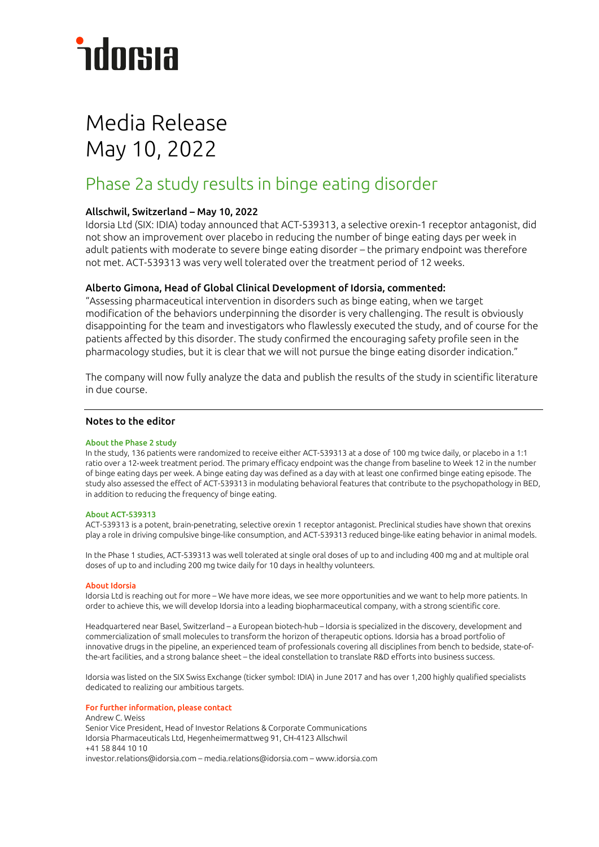# *<u>ndorsia</u>*

## Media Release May 10, 2022

### Phase 2a study results in binge eating disorder

#### Allschwil, Switzerland – May 10, 2022

Idorsia Ltd (SIX: IDIA) today announced that ACT-539313, a selective orexin-1 receptor antagonist, did not show an improvement over placebo in reducing the number of binge eating days per week in adult patients with moderate to severe binge eating disorder – the primary endpoint was therefore not met. ACT-539313 was very well tolerated over the treatment period of 12 weeks.

#### Alberto Gimona, Head of Global Clinical Development of Idorsia, commented:

"Assessing pharmaceutical intervention in disorders such as binge eating, when we target modification of the behaviors underpinning the disorder is very challenging. The result is obviously disappointing for the team and investigators who flawlessly executed the study, and of course for the patients affected by this disorder. The study confirmed the encouraging safety profile seen in the pharmacology studies, but it is clear that we will not pursue the binge eating disorder indication."

The company will now fully analyze the data and publish the results of the study in scientific literature in due course.

#### Notes to the editor

#### About the Phase 2 study

In the study, 136 patients were randomized to receive either ACT-539313 at a dose of 100 mg twice daily, or placebo in a 1:1 ratio over a 12‑week treatment period. The primary efficacy endpoint was the change from baseline to Week 12 in the number of binge eating days per week. A binge eating day was defined as a day with at least one confirmed binge eating episode. The study also assessed the effect of ACT-539313 in modulating behavioral features that contribute to the psychopathology in BED, in addition to reducing the frequency of binge eating.

#### About ACT-539313

ACT-539313 is a potent, brain-penetrating, selective orexin 1 receptor antagonist. Preclinical studies have shown that orexins play a role in driving compulsive binge-like consumption, and ACT-539313 reduced binge-like eating behavior in animal models.

In the Phase 1 studies, ACT-539313 was well tolerated at single oral doses of up to and including 400 mg and at multiple oral doses of up to and including 200 mg twice daily for 10 days in healthy volunteers.

#### About Idorsia

Idorsia Ltd is reaching out for more – We have more ideas, we see more opportunities and we want to help more patients. In order to achieve this, we will develop Idorsia into a leading biopharmaceutical company, with a strong scientific core.

Headquartered near Basel, Switzerland – a European biotech-hub – Idorsia is specialized in the discovery, development and commercialization of small molecules to transform the horizon of therapeutic options. Idorsia has a broad portfolio of innovative drugs in the pipeline, an experienced team of professionals covering all disciplines from bench to bedside, state-ofthe-art facilities, and a strong balance sheet – the ideal constellation to translate R&D efforts into business success.

Idorsia was listed on the SIX Swiss Exchange (ticker symbol: IDIA) in June 2017 and has over 1,200 highly qualified specialists dedicated to realizing our ambitious targets.

#### For further information, please contact

Andrew C. Weiss Senior Vice President, Head of Investor Relations & Corporate Communications Idorsia Pharmaceuticals Ltd, Hegenheimermattweg 91, CH-4123 Allschwil +41 58 844 10 10 investor.relations@idorsia.com – media.relations@idorsia.com – www.idorsia.com